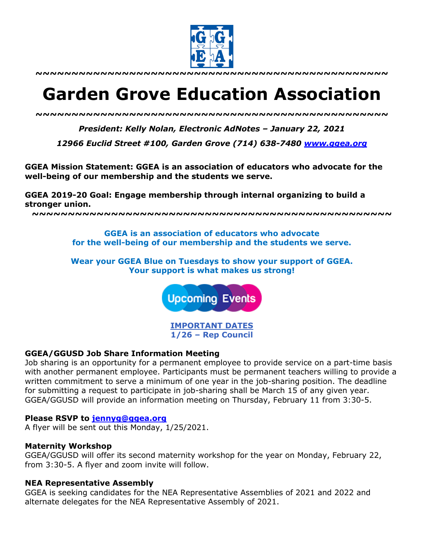

**~~~~~~~~~~~~~~~~~~~~~~~~~~~~~~~~~~~~~~~~~~~~~~~~~**

# **Garden Grove Education Association**

*~~~~~~~~~~~~~~~~~~~~~~~~~~~~~~~~~~~~~~~~~~~~~~~~~*

*President: Kelly Nolan, Electronic AdNotes – January 22, 2021*

*12966 Euclid Street #100, Garden Grove (714) 638-7480 www.ggea.org*

**GGEA Mission Statement: GGEA is an association of educators who advocate for the well-being of our membership and the students we serve.** 

**GGEA 2019-20 Goal: Engage membership through internal organizing to build a stronger union.**

**~~~~~~~~~~~~~~~~~~~~~~~~~~~~~~~~~~~~~~~~~~~~~~~~~~**

**GGEA is an association of educators who advocate for the well-being of our membership and the students we serve.**

**Wear your GGEA Blue on Tuesdays to show your support of GGEA. Your support is what makes us strong!**

**Upcoming Events** 

**IMPORTANT DATES 1/26 – Rep Council**

## **GGEA/GGUSD Job Share Information Meeting**

Job sharing is an opportunity for a permanent employee to provide service on a part-time basis with another permanent employee. Participants must be permanent teachers willing to provide a written commitment to serve a minimum of one year in the job-sharing position. The deadline for submitting a request to participate in job-sharing shall be March 15 of any given year. GGEA/GGUSD will provide an information meeting on Thursday, February 11 from 3:30-5.

## **Please RSVP to jennyg@ggea.org**

A flyer will be sent out this Monday, 1/25/2021.

## **Maternity Workshop**

GGEA/GGUSD will offer its second maternity workshop for the year on Monday, February 22, from 3:30-5. A flyer and zoom invite will follow.

## **NEA Representative Assembly**

GGEA is seeking candidates for the NEA Representative Assemblies of 2021 and 2022 and alternate delegates for the NEA Representative Assembly of 2021.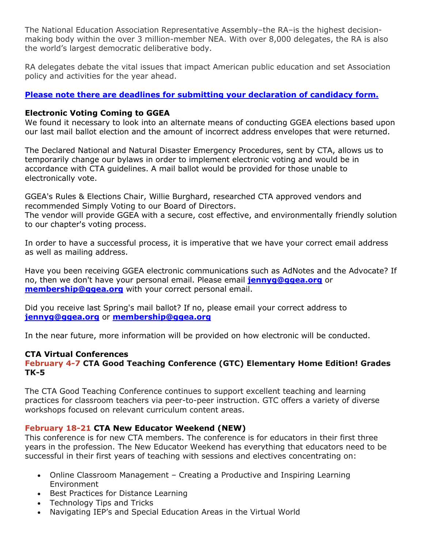The National Education Association Representative Assembly–the RA–is the highest decisionmaking body within the over 3 million-member NEA. With over 8,000 delegates, the RA is also the world's largest democratic deliberative body.

RA delegates debate the vital issues that impact American public education and set Association policy and activities for the year ahead.

# **Please note there are deadlines for submitting your declaration of candidacy form.**

## **Electronic Voting Coming to GGEA**

We found it necessary to look into an alternate means of conducting GGEA elections based upon our last mail ballot election and the amount of incorrect address envelopes that were returned.

The Declared National and Natural Disaster Emergency Procedures, sent by CTA, allows us to temporarily change our bylaws in order to implement electronic voting and would be in accordance with CTA guidelines. A mail ballot would be provided for those unable to electronically vote.

GGEA's Rules & Elections Chair, Willie Burghard, researched CTA approved vendors and recommended Simply Voting to our Board of Directors.

The vendor will provide GGEA with a secure, cost effective, and environmentally friendly solution to our chapter's voting process.

In order to have a successful process, it is imperative that we have your correct email address as well as mailing address.

Have you been receiving GGEA electronic communications such as AdNotes and the Advocate? If no, then we don't have your personal email. Please email **jennyg@ggea.org** or **membership@ggea.org** with your correct personal email.

Did you receive last Spring's mail ballot? If no, please email your correct address to **jennyg@ggea.org** or **membership@ggea.org**

In the near future, more information will be provided on how electronic will be conducted.

# **CTA Virtual Conferences**

# **February 4-7 CTA Good Teaching Conference (GTC) Elementary Home Edition! Grades TK-5**

The CTA Good Teaching Conference continues to support excellent teaching and learning practices for classroom teachers via peer-to-peer instruction. GTC offers a variety of diverse workshops focused on relevant curriculum content areas.

# **February 18-21 CTA New Educator Weekend (NEW)**

This conference is for new CTA members. The conference is for educators in their first three years in the profession. The New Educator Weekend has everything that educators need to be successful in their first years of teaching with sessions and electives concentrating on:

- Online Classroom Management Creating a Productive and Inspiring Learning Environment
- Best Practices for Distance Learning
- Technology Tips and Tricks
- Navigating IEP's and Special Education Areas in the Virtual World